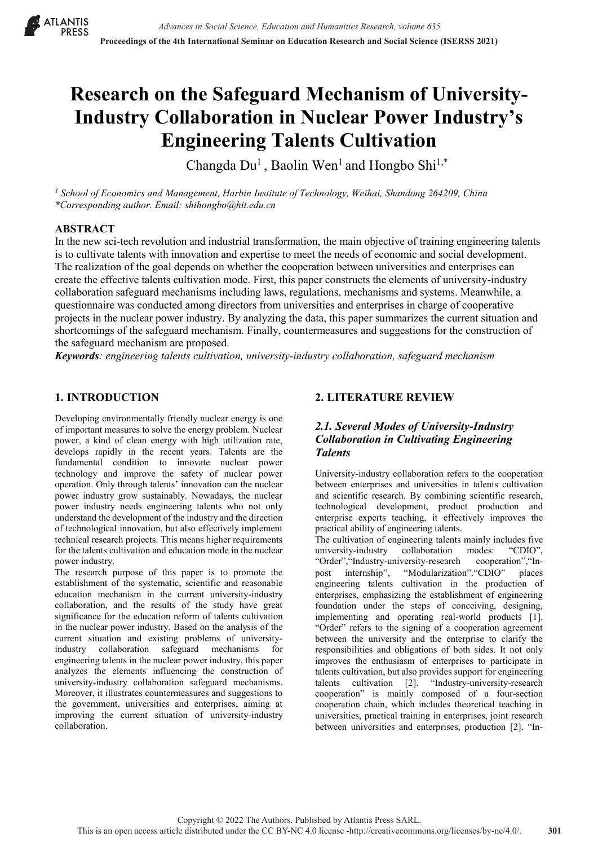

# **Research on the Safeguard Mechanism of University-Industry Collaboration in Nuclear Power Industry's Engineering Talents Cultivation**

Changda  $Du<sup>1</sup>$ , Baolin Wen<sup>1</sup> and Hongbo Shi<sup>1,\*</sup>

*<sup>1</sup> School of Economics and Management, Harbin Institute of Technology, Weihai, Shandong 264209, China \*Corresponding author. Email: shihongbo@hit.edu.cn*

## **ABSTRACT**

In the new sci-tech revolution and industrial transformation, the main objective of training engineering talents is to cultivate talents with innovation and expertise to meet the needs of economic and social development. The realization of the goal depends on whether the cooperation between universities and enterprises can create the effective talents cultivation mode. First, this paper constructs the elements of university-industry collaboration safeguard mechanisms including laws, regulations, mechanisms and systems. Meanwhile, a questionnaire was conducted among directors from universities and enterprises in charge of cooperative projects in the nuclear power industry. By analyzing the data, this paper summarizes the current situation and shortcomings of the safeguard mechanism. Finally, countermeasures and suggestions for the construction of the safeguard mechanism are proposed.

*Keywords: engineering talents cultivation, university-industry collaboration, safeguard mechanism* 

# **1. INTRODUCTION**

Developing environmentally friendly nuclear energy is one of important measures to solve the energy problem. Nuclear power, a kind of clean energy with high utilization rate, develops rapidly in the recent years. Talents are the fundamental condition to innovate nuclear power technology and improve the safety of nuclear power operation. Only through talents' innovation can the nuclear power industry grow sustainably. Nowadays, the nuclear power industry needs engineering talents who not only understand the development of the industry and the direction of technological innovation, but also effectively implement technical research projects. This means higher requirements for the talents cultivation and education mode in the nuclear power industry.

The research purpose of this paper is to promote the establishment of the systematic, scientific and reasonable education mechanism in the current university-industry collaboration, and the results of the study have great significance for the education reform of talents cultivation in the nuclear power industry. Based on the analysis of the current situation and existing problems of universityindustry collaboration safeguard mechanisms for engineering talents in the nuclear power industry, this paper analyzes the elements influencing the construction of university-industry collaboration safeguard mechanisms. Moreover, it illustrates countermeasures and suggestions to the government, universities and enterprises, aiming at improving the current situation of university-industry collaboration.

# **2. LITERATURE REVIEW**

# *2.1. Several Modes of University-Industry Collaboration in Cultivating Engineering Talents*

University-industry collaboration refers to the cooperation between enterprises and universities in talents cultivation and scientific research. By combining scientific research, technological development, product production and enterprise experts teaching, it effectively improves the practical ability of engineering talents.

The cultivation of engineering talents mainly includes five university-industry collaboration modes: "CDIO", "Order","Industry-university-research cooperation","Inpost internship", "Modularization"."CDIO" places engineering talents cultivation in the production of enterprises, emphasizing the establishment of engineering foundation under the steps of conceiving, designing, implementing and operating real-world products [1]. "Order" refers to the signing of a cooperation agreement between the university and the enterprise to clarify the responsibilities and obligations of both sides. It not only improves the enthusiasm of enterprises to participate in talents cultivation, but also provides support for engineering talents cultivation [2]. "Industry-university-research cooperation" is mainly composed of a four-section cooperation chain, which includes theoretical teaching in universities, practical training in enterprises, joint research between universities and enterprises, production [2]. "In-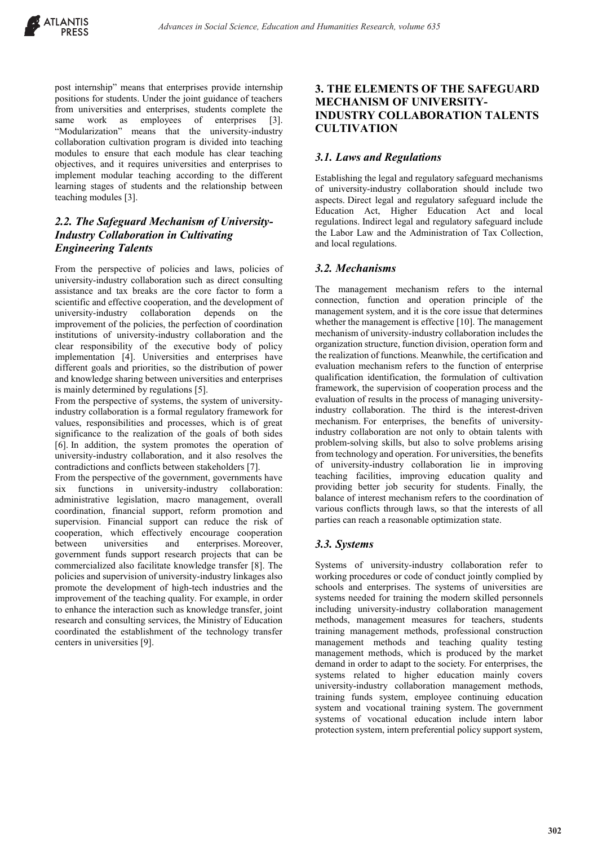post internship" means that enterprises provide internship positions for students. Under the joint guidance of teachers from universities and enterprises, students complete the same work as employees of enterprises [3]. "Modularization" means that the university-industry collaboration cultivation program is divided into teaching modules to ensure that each module has clear teaching objectives, and it requires universities and enterprises to implement modular teaching according to the different learning stages of students and the relationship between teaching modules [3].

# *2.2. The Safeguard Mechanism of University-Industry Collaboration in Cultivating Engineering Talents*

From the perspective of policies and laws, policies of university-industry collaboration such as direct consulting assistance and tax breaks are the core factor to form a scientific and effective cooperation, and the development of university-industry collaboration depends on the improvement of the policies, the perfection of coordination institutions of university-industry collaboration and the clear responsibility of the executive body of policy implementation [4]. Universities and enterprises have different goals and priorities, so the distribution of power and knowledge sharing between universities and enterprises is mainly determined by regulations [5].

From the perspective of systems, the system of universityindustry collaboration is a formal regulatory framework for values, responsibilities and processes, which is of great significance to the realization of the goals of both sides [6]. In addition, the system promotes the operation of university-industry collaboration, and it also resolves the contradictions and conflicts between stakeholders [7].

From the perspective of the government, governments have six functions in university-industry collaboration: administrative legislation, macro management, overall coordination, financial support, reform promotion and supervision. Financial support can reduce the risk of cooperation, which effectively encourage cooperation between universities and enterprises. Moreover, government funds support research projects that can be commercialized also facilitate knowledge transfer [8]. The policies and supervision of university-industry linkages also promote the development of high-tech industries and the improvement of the teaching quality. For example, in order to enhance the interaction such as knowledge transfer, joint research and consulting services, the Ministry of Education coordinated the establishment of the technology transfer centers in universities [9].

# **3. THE ELEMENTS OF THE SAFEGUARD MECHANISM OF UNIVERSITY-INDUSTRY COLLABORATION TALENTS CULTIVATION**

# *3.1. Laws and Regulations*

Establishing the legal and regulatory safeguard mechanisms of university-industry collaboration should include two aspects. Direct legal and regulatory safeguard include the Education Act, Higher Education Act and local regulations. Indirect legal and regulatory safeguard include the Labor Law and the Administration of Tax Collection, and local regulations.

# *3.2. Mechanisms*

The management mechanism refers to the internal connection, function and operation principle of the management system, and it is the core issue that determines whether the management is effective [10]. The management mechanism of university-industry collaboration includes the organization structure, function division, operation form and the realization of functions. Meanwhile, the certification and evaluation mechanism refers to the function of enterprise qualification identification, the formulation of cultivation framework, the supervision of cooperation process and the evaluation of results in the process of managing universityindustry collaboration. The third is the interest-driven mechanism. For enterprises, the benefits of universityindustry collaboration are not only to obtain talents with problem-solving skills, but also to solve problems arising from technology and operation. For universities, the benefits of university-industry collaboration lie in improving teaching facilities, improving education quality and providing better job security for students. Finally, the balance of interest mechanism refers to the coordination of various conflicts through laws, so that the interests of all parties can reach a reasonable optimization state.

## *3.3. Systems*

Systems of university-industry collaboration refer to working procedures or code of conduct jointly complied by schools and enterprises. The systems of universities are systems needed for training the modern skilled personnels including university-industry collaboration management methods, management measures for teachers, students training management methods, professional construction management methods and teaching quality testing management methods, which is produced by the market demand in order to adapt to the society. For enterprises, the systems related to higher education mainly covers university-industry collaboration management methods, training funds system, employee continuing education system and vocational training system. The government systems of vocational education include intern labor protection system, intern preferential policy support system,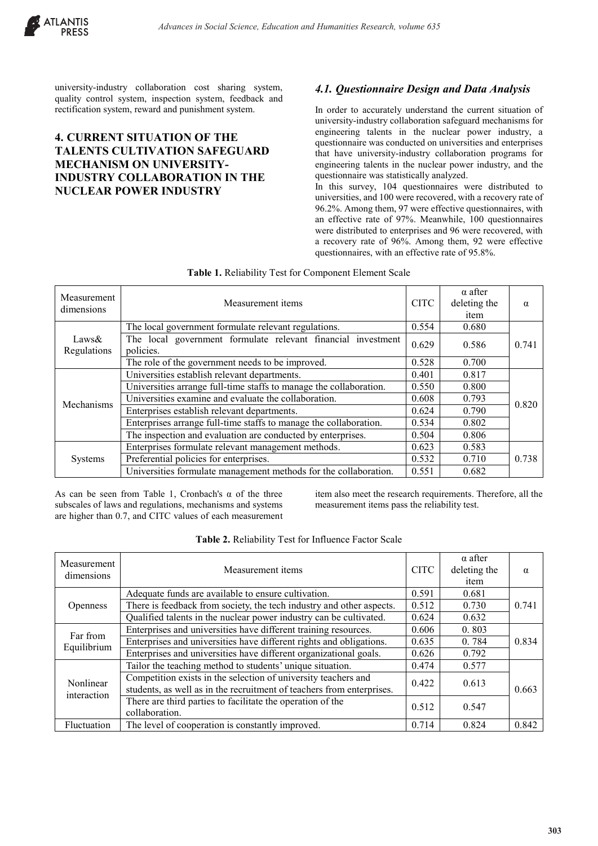

university-industry collaboration cost sharing system, quality control system, inspection system, feedback and rectification system, reward and punishment system.

# **4. CURRENT SITUATION OF THE TALENTS CULTIVATION SAFEGUARD MECHANISM ON UNIVERSITY-INDUSTRY COLLABORATION IN THE NUCLEAR POWER INDUSTRY**

# *4.1. Questionnaire Design and Data Analysis*

In order to accurately understand the current situation of university-industry collaboration safeguard mechanisms for engineering talents in the nuclear power industry, a questionnaire was conducted on universities and enterprises that have university-industry collaboration programs for engineering talents in the nuclear power industry, and the questionnaire was statistically analyzed.

In this survey, 104 questionnaires were distributed to universities, and 100 were recovered, with a recovery rate of 96.2%. Among them, 97 were effective questionnaires, with an effective rate of 97%. Meanwhile, 100 questionnaires were distributed to enterprises and 96 were recovered, with a recovery rate of 96%. Among them, 92 were effective questionnaires, with an effective rate of 95.8%.

| Measurement<br>dimensions | Measurement items                                                         | <b>CITC</b> | $\alpha$ after<br>deleting the<br>item | $\alpha$ |
|---------------------------|---------------------------------------------------------------------------|-------------|----------------------------------------|----------|
|                           | The local government formulate relevant regulations.                      | 0.554       | 0.680                                  |          |
| Laws $&$<br>Regulations   | The local government formulate relevant financial investment<br>policies. | 0.629       | 0.586                                  | 0.741    |
|                           | The role of the government needs to be improved.                          | 0.528       | 0.700                                  |          |
| Mechanisms                | Universities establish relevant departments.                              | 0.401       | 0.817                                  |          |
|                           | Universities arrange full-time staffs to manage the collaboration.        | 0.550       | 0.800                                  |          |
|                           | Universities examine and evaluate the collaboration.                      | 0.608       | 0.793                                  | 0.820    |
|                           | Enterprises establish relevant departments.                               | 0.624       | 0.790                                  |          |
|                           | Enterprises arrange full-time staffs to manage the collaboration.         | 0.534       | 0.802                                  |          |
|                           | The inspection and evaluation are conducted by enterprises.               | 0.504       | 0.806                                  |          |
| Systems                   | Enterprises formulate relevant management methods.                        | 0.623       | 0.583                                  |          |
|                           | Preferential policies for enterprises.                                    | 0.532       | 0.710                                  | 0.738    |
|                           | Universities formulate management methods for the collaboration.          | 0.551       | 0.682                                  |          |

As can be seen from Table 1, Cronbach's  $\alpha$  of the three subscales of laws and regulations, mechanisms and systems are higher than 0.7, and CITC values of each measurement item also meet the research requirements. Therefore, all the measurement items pass the reliability test.

| Measurement<br>dimensions | Measurement items                                                                                                                       | <b>CITC</b> | $\alpha$ after<br>deleting the<br>item | $\alpha$ |
|---------------------------|-----------------------------------------------------------------------------------------------------------------------------------------|-------------|----------------------------------------|----------|
| <b>Openness</b>           | Adequate funds are available to ensure cultivation.                                                                                     | 0.591       | 0.681                                  |          |
|                           | There is feedback from society, the tech industry and other aspects.                                                                    | 0.512       | 0.730                                  | 0.741    |
|                           | Qualified talents in the nuclear power industry can be cultivated.                                                                      | 0.624       | 0.632                                  |          |
|                           | Enterprises and universities have different training resources.                                                                         | 0.606       | 0.803                                  |          |
| Far from<br>Equilibrium   | Enterprises and universities have different rights and obligations.                                                                     | 0.635       | 0.784                                  | 0.834    |
|                           | Enterprises and universities have different organizational goals.                                                                       | 0.626       | 0.792                                  |          |
| Nonlinear<br>interaction  | Tailor the teaching method to students' unique situation.                                                                               | 0.474       | 0.577                                  |          |
|                           | Competition exists in the selection of university teachers and<br>students, as well as in the recruitment of teachers from enterprises. | 0.422       | 0.613                                  | 0.663    |
|                           | There are third parties to facilitate the operation of the<br>collaboration.                                                            | 0.512       | 0.547                                  |          |
| Fluctuation               | The level of cooperation is constantly improved.                                                                                        | 0.714       | 0.824                                  | 0.842    |

#### **Table 2.** Reliability Test for Influence Factor Scale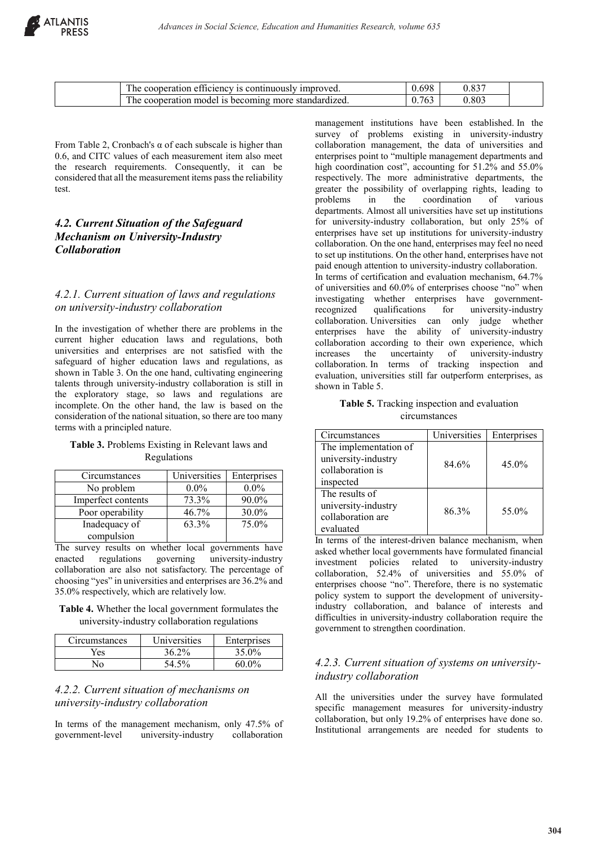| $\sim$<br>Ē<br>continuously<br>umproved.<br>etticiency<br>cooperation<br>15.<br>ne. | $\epsilon$ $\alpha$                  |       |
|-------------------------------------------------------------------------------------|--------------------------------------|-------|
| Ē<br>more<br>standardızed.<br>-is-becoming-<br>model<br>cooperation<br>ne           | $\sim$ $\sim$ $\sim$<br><u>0.763</u> | 0.803 |

From Table 2, Cronbach's  $\alpha$  of each subscale is higher than 0.6, and CITC values of each measurement item also meet the research requirements. Consequently, it can be considered that all the measurement items pass the reliability test.

# *4.2. Current Situation of the Safeguard Mechanism on University-Industry Collaboration*

#### *4.2.1. Current situation of laws and regulations on university-industry collaboration*

In the investigation of whether there are problems in the current higher education laws and regulations, both universities and enterprises are not satisfied with the safeguard of higher education laws and regulations, as shown in Table 3. On the one hand, cultivating engineering talents through university-industry collaboration is still in the exploratory stage, so laws and regulations are incomplete. On the other hand, the law is based on the consideration of the national situation, so there are too many terms with a principled nature.

#### **Table 3.** Problems Existing in Relevant laws and Regulations

| Circumstances      | Universities | Enterprises |
|--------------------|--------------|-------------|
| No problem         | $0.0\%$      | $0.0\%$     |
| Imperfect contents | 73.3%        | 90.0%       |
| Poor operability   | 46.7%        | 30.0%       |
| Inadequacy of      | 63.3%        | 75.0%       |
| compulsion         |              |             |

The survey results on whether local governments have enacted regulations governing university-industry collaboration are also not satisfactory. The percentage of choosing "yes" in universities and enterprises are 36.2% and 35.0% respectively, which are relatively low.

**Table 4.** Whether the local government formulates the university-industry collaboration regulations

| Circumstances | Universities | Enterprises |
|---------------|--------------|-------------|
| ∕es           | 36.2%        | 35.0%       |
| √∩            | 54.5%        | 60.0%       |

#### *4.2.2. Current situation of mechanisms on university-industry collaboration*

In terms of the management mechanism, only 47.5% of government-level university-industry collaboration

management institutions have been established. In the survey of problems existing in university-industry collaboration management, the data of universities and enterprises point to "multiple management departments and high coordination cost", accounting for 51.2% and 55.0% respectively. The more administrative departments, the greater the possibility of overlapping rights, leading to problems in the coordination of various departments. Almost all universities have set up institutions for university-industry collaboration, but only 25% of enterprises have set up institutions for university-industry collaboration. On the one hand, enterprises may feel no need to set up institutions. On the other hand, enterprises have not paid enough attention to university-industry collaboration. In terms of certification and evaluation mechanism, 64.7% of universities and 60.0% of enterprises choose "no" when investigating whether enterprises have governmentrecognized qualifications for university-industry collaboration. Universities can only judge whether enterprises have the ability of university-industry collaboration according to their own experience, which increases the uncertainty of university-industry collaboration. In terms of tracking inspection and evaluation, universities still far outperform enterprises, as shown in Table 5.

#### **Table 5.** Tracking inspection and evaluation circumstances

| Circumstances         | <b>Universities</b> | Enterprises |  |
|-----------------------|---------------------|-------------|--|
| The implementation of |                     |             |  |
| university-industry   | 84.6%               | $45.0\%$    |  |
| collaboration is      |                     |             |  |
| inspected             |                     |             |  |
| The results of        |                     |             |  |
| university-industry   | 86.3%               | 55.0%       |  |
| collaboration are     |                     |             |  |
| evaluated             |                     |             |  |

In terms of the interest-driven balance mechanism, when asked whether local governments have formulated financial investment policies related to university-industry collaboration, 52.4% of universities and 55.0% of enterprises choose "no". Therefore, there is no systematic policy system to support the development of universityindustry collaboration, and balance of interests and difficulties in university-industry collaboration require the government to strengthen coordination.

# *4.2.3. Current situation of systems on universityindustry collaboration*

All the universities under the survey have formulated specific management measures for university-industry collaboration, but only 19.2% of enterprises have done so. Institutional arrangements are needed for students to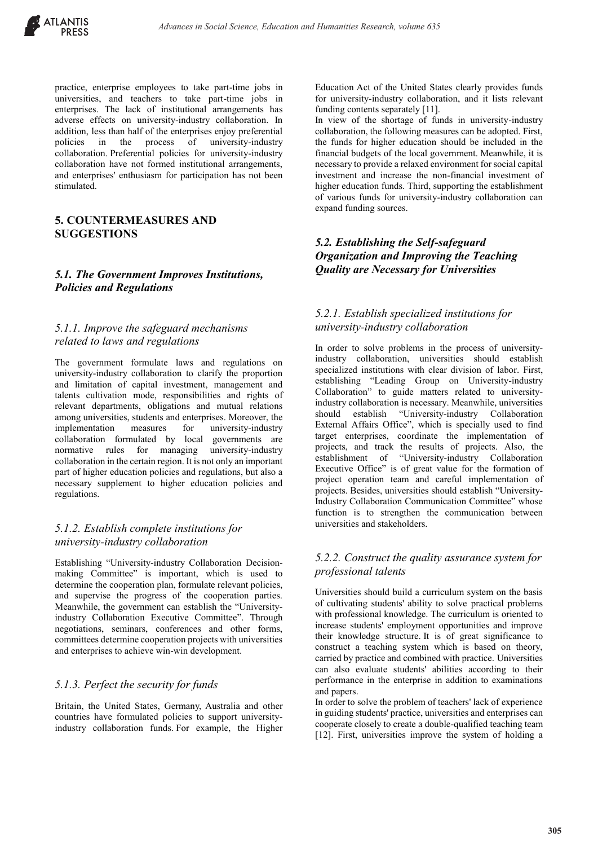

practice, enterprise employees to take part-time jobs in universities, and teachers to take part-time jobs in enterprises. The lack of institutional arrangements has adverse effects on university-industry collaboration. In addition, less than half of the enterprises enjoy preferential<br>policies in the process of university-industry policies in the process of university-industry collaboration. Preferential policies for university-industry collaboration have not formed institutional arrangements, and enterprises' enthusiasm for participation has not been stimulated.

# **5. COUNTERMEASURES AND SUGGESTIONS**

# *5.1. The Government Improves Institutions, Policies and Regulations*

#### *5.1.1. Improve the safeguard mechanisms related to laws and regulations*

The government formulate laws and regulations on university-industry collaboration to clarify the proportion and limitation of capital investment, management and talents cultivation mode, responsibilities and rights of relevant departments, obligations and mutual relations among universities, students and enterprises. Moreover, the implementation measures for university-industry collaboration formulated by local governments are normative rules for managing university-industry collaboration in the certain region. It is not only an important part of higher education policies and regulations, but also a necessary supplement to higher education policies and regulations.

# *5.1.2. Establish complete institutions for university-industry collaboration*

Establishing "University-industry Collaboration Decisionmaking Committee" is important, which is used to determine the cooperation plan, formulate relevant policies, and supervise the progress of the cooperation parties. Meanwhile, the government can establish the "Universityindustry Collaboration Executive Committee". Through negotiations, seminars, conferences and other forms, committees determine cooperation projects with universities and enterprises to achieve win-win development.

#### *5.1.3. Perfect the security for funds*

Britain, the United States, Germany, Australia and other countries have formulated policies to support universityindustry collaboration funds. For example, the Higher

Education Act of the United States clearly provides funds for university-industry collaboration, and it lists relevant funding contents separately [11].

In view of the shortage of funds in university-industry collaboration, the following measures can be adopted. First, the funds for higher education should be included in the financial budgets of the local government. Meanwhile, it is necessary to provide a relaxed environment for social capital investment and increase the non-financial investment of higher education funds. Third, supporting the establishment of various funds for university-industry collaboration can expand funding sources.

# *5.2. Establishing the Self-safeguard Organization and Improving the Teaching Quality are Necessary for Universities*

## *5.2.1. Establish specialized institutions for university-industry collaboration*

In order to solve problems in the process of universityindustry collaboration, universities should establish specialized institutions with clear division of labor. First, establishing "Leading Group on University-industry Collaboration" to guide matters related to universityindustry collaboration is necessary. Meanwhile, universities should establish "University-industry Collaboration External Affairs Office", which is specially used to find target enterprises, coordinate the implementation of projects, and track the results of projects. Also, the establishment of "University-industry Collaboration Executive Office" is of great value for the formation of project operation team and careful implementation of projects. Besides, universities should establish "University-Industry Collaboration Communication Committee" whose function is to strengthen the communication between universities and stakeholders.

#### *5.2.2. Construct the quality assurance system for professional talents*

Universities should build a curriculum system on the basis of cultivating students' ability to solve practical problems with professional knowledge. The curriculum is oriented to increase students' employment opportunities and improve their knowledge structure. It is of great significance to construct a teaching system which is based on theory, carried by practice and combined with practice. Universities can also evaluate students' abilities according to their performance in the enterprise in addition to examinations and papers.

In order to solve the problem of teachers' lack of experience in guiding students' practice, universities and enterprises can cooperate closely to create a double-qualified teaching team [12]. First, universities improve the system of holding a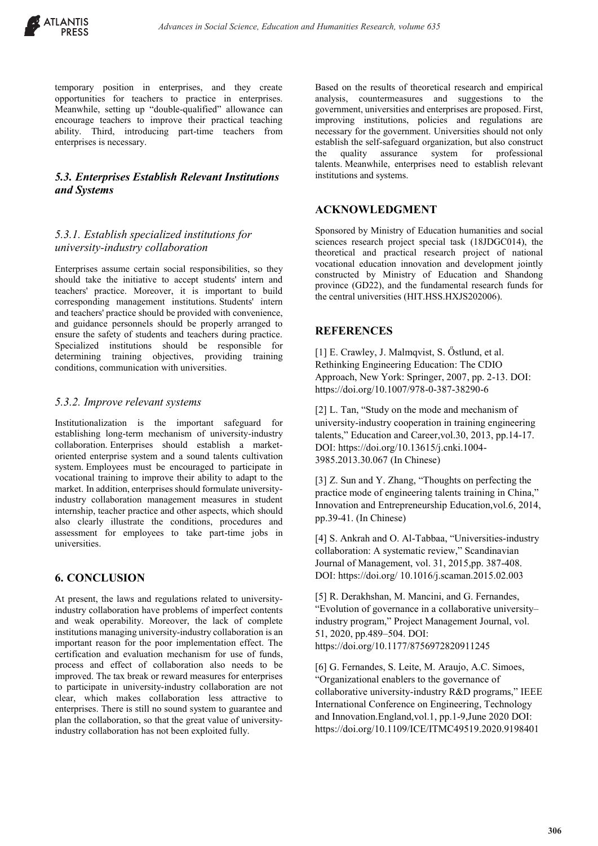

temporary position in enterprises, and they create opportunities for teachers to practice in enterprises. Meanwhile, setting up "double-qualified" allowance can encourage teachers to improve their practical teaching ability. Third, introducing part-time teachers from enterprises is necessary.

#### *5.3. Enterprises Establish Relevant Institutions and Systems*

# *5.3.1. Establish specialized institutions for university-industry collaboration*

Enterprises assume certain social responsibilities, so they should take the initiative to accept students' intern and teachers' practice. Moreover, it is important to build corresponding management institutions. Students' intern and teachers' practice should be provided with convenience, and guidance personnels should be properly arranged to ensure the safety of students and teachers during practice. Specialized institutions should be responsible for determining training objectives, providing training conditions, communication with universities.

#### *5.3.2. Improve relevant systems*

Institutionalization is the important safeguard for establishing long-term mechanism of university-industry collaboration. Enterprises should establish a marketoriented enterprise system and a sound talents cultivation system. Employees must be encouraged to participate in vocational training to improve their ability to adapt to the market. In addition, enterprises should formulate universityindustry collaboration management measures in student internship, teacher practice and other aspects, which should also clearly illustrate the conditions, procedures and assessment for employees to take part-time jobs in universities.

# **6. CONCLUSION**

At present, the laws and regulations related to universityindustry collaboration have problems of imperfect contents and weak operability. Moreover, the lack of complete institutions managing university-industry collaboration is an important reason for the poor implementation effect. The certification and evaluation mechanism for use of funds, process and effect of collaboration also needs to be improved. The tax break or reward measures for enterprises to participate in university-industry collaboration are not clear, which makes collaboration less attractive to enterprises. There is still no sound system to guarantee and plan the collaboration, so that the great value of universityindustry collaboration has not been exploited fully.

Based on the results of theoretical research and empirical analysis, countermeasures and suggestions to the government, universities and enterprises are proposed. First, improving institutions, policies and regulations are necessary for the government. Universities should not only establish the self-safeguard organization, but also construct the quality assurance system for professional talents. Meanwhile, enterprises need to establish relevant institutions and systems.

# **ACKNOWLEDGMENT**

Sponsored by Ministry of Education humanities and social sciences research project special task (18JDGC014), the theoretical and practical research project of national vocational education innovation and development jointly constructed by Ministry of Education and Shandong province (GD22), and the fundamental research funds for the central universities (HIT.HSS.HXJS202006).

## **REFERENCES**

[1] E. Crawley, J. Malmqvist, S. Őstlund, et al. Rethinking Engineering Education: The CDIO Approach, New York: Springer, 2007, pp. 2-13. DOI: https://doi.org/10.1007/978-0-387-38290-6

[2] L. Tan, "Study on the mode and mechanism of university-industry cooperation in training engineering talents," Education and Career,vol.30, 2013, pp.14-17. DOI: https://doi.org/10.13615/j.cnki.1004- 3985.2013.30.067 (In Chinese)

[3] Z. Sun and Y. Zhang, "Thoughts on perfecting the practice mode of engineering talents training in China," Innovation and Entrepreneurship Education,vol.6, 2014, pp.39-41. (In Chinese)

[4] S. Ankrah and O. Al-Tabbaa, "Universities-industry collaboration: A systematic review," Scandinavian Journal of Management, vol. 31, 2015,pp. 387-408. DOI: https://doi.org/ 10.1016/j.scaman.2015.02.003

[5] R. Derakhshan, M. Mancini, and G. Fernandes, "Evolution of governance in a collaborative university– industry program," Project Management Journal, vol. 51, 2020, pp.489–504. DOI: https://doi.org/10.1177/8756972820911245

[6] G. Fernandes, S. Leite, M. Araujo, A.C. Simoes, "Organizational enablers to the governance of collaborative university-industry R&D programs," IEEE International Conference on Engineering, Technology and Innovation.England,vol.1, pp.1-9,June 2020 DOI: https://doi.org/10.1109/ICE/ITMC49519.2020.9198401